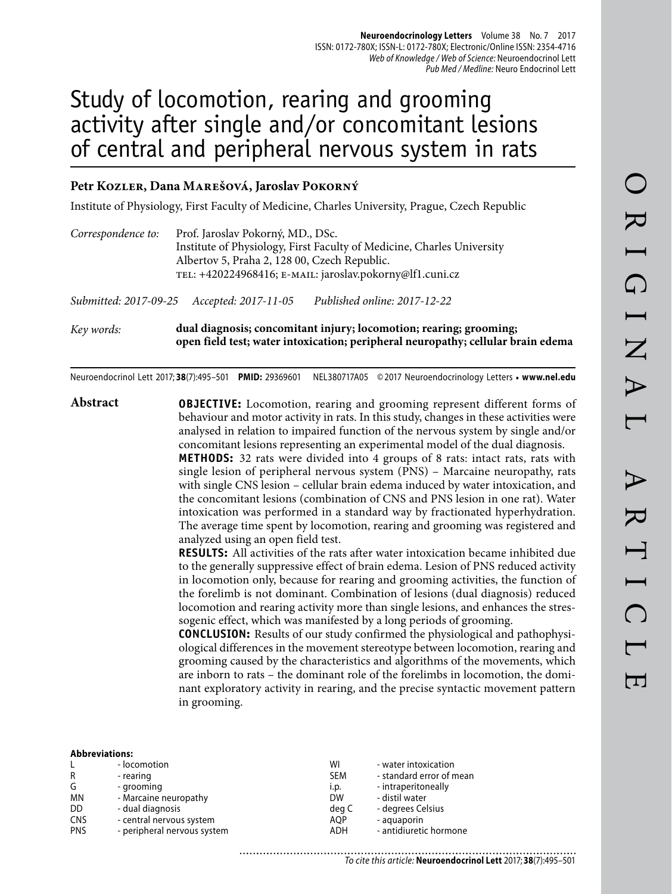# Study of locomotion, rearing and grooming activity after single and/or concomitant lesions of central and peripheral nervous system in rats

## **Petr Kozler, Dana Marešová, Jaroslav Pokorný**

Institute of Physiology, First Faculty of Medicine, Charles University, Prague, Czech Republic

| Correspondence to: | Prof. Jaroslav Pokorný, MD., DSc.<br>Institute of Physiology, First Faculty of Medicine, Charles University<br>Albertov 5, Praha 2, 128 00, Czech Republic.<br>TEL: +420224968416; E-MAIL: jaroslav.pokorny@lf1.cuni.cz |
|--------------------|-------------------------------------------------------------------------------------------------------------------------------------------------------------------------------------------------------------------------|
|                    | Published online: 2017-12-22<br>Submitted: 2017-09-25 Accepted: 2017-11-05                                                                                                                                              |
| Key words:         | dual diagnosis; concomitant injury; locomotion; rearing; grooming;<br>open field test; water intoxication; peripheral neuropathy; cellular brain edema                                                                  |

Neuroendocrinol Lett 2017; **38**(7):495–501 **PMID:** 29369601 NEL380717A05 © 2017 Neuroendocrinology Letters • **www.nel.edu**

**Abstract OBJECTIVE:** Locomotion, rearing and grooming represent different forms of behaviour and motor activity in rats. In this study, changes in these activities were analysed in relation to impaired function of the nervous system by single and/or concomitant lesions representing an experimental model of the dual diagnosis.

**METHODS:** 32 rats were divided into 4 groups of 8 rats: intact rats, rats with single lesion of peripheral nervous system (PNS) – Marcaine neuropathy, rats with single CNS lesion – cellular brain edema induced by water intoxication, and the concomitant lesions (combination of CNS and PNS lesion in one rat). Water intoxication was performed in a standard way by fractionated hyperhydration. The average time spent by locomotion, rearing and grooming was registered and analyzed using an open field test.

**RESULTS:** All activities of the rats after water intoxication became inhibited due to the generally suppressive effect of brain edema. Lesion of PNS reduced activity in locomotion only, because for rearing and grooming activities, the function of the forelimb is not dominant. Combination of lesions (dual diagnosis) reduced locomotion and rearing activity more than single lesions, and enhances the stressogenic effect, which was manifested by a long periods of grooming.

**CONCLUSION:** Results of our study confirmed the physiological and pathophysiological differences in the movement stereotype between locomotion, rearing and grooming caused by the characteristics and algorithms of the movements, which are inborn to rats – the dominant role of the forelimbs in locomotion, the dominant exploratory activity in rearing, and the precise syntactic movement pattern in grooming.

| <b>Abbreviations:</b> |  |
|-----------------------|--|
|                       |  |

|            | - locomotion                | WI         | - water intoxication     |
|------------|-----------------------------|------------|--------------------------|
| R          | - rearing                   | <b>SEM</b> | - standard error of mean |
| G          | - grooming                  | i.p.       | - intraperitoneally      |
| <b>MN</b>  | - Marcaine neuropathy       | <b>DW</b>  | - distil water           |
| DD         | - dual diagnosis            | deg C      | - degrees Celsius        |
| <b>CNS</b> | - central nervous system    | AOP        | - aquaporin              |
| <b>PNS</b> | - peripheral nervous system | ADH        | - antidiuretic hormone   |
|            |                             |            |                          |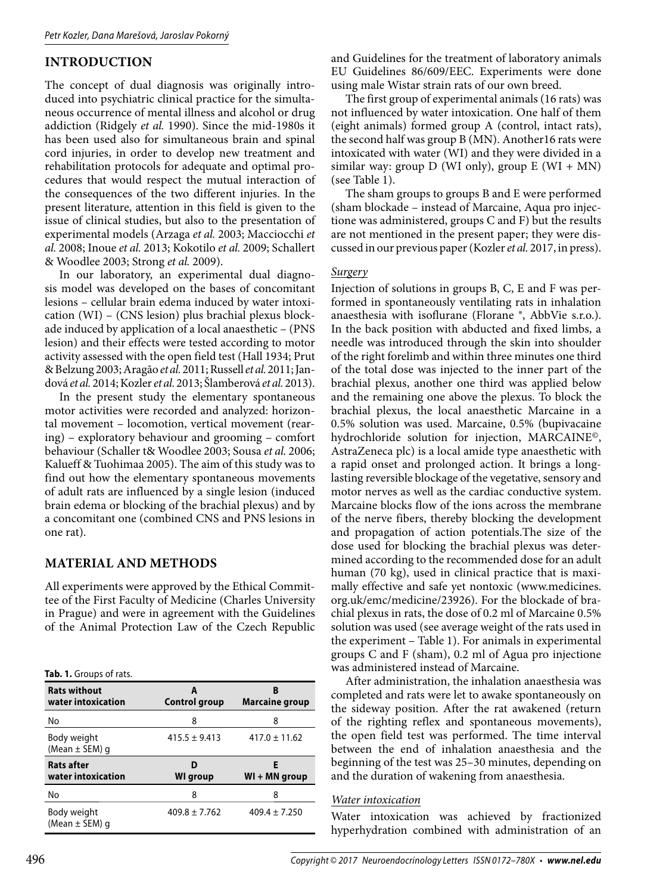# **INTRODUCTION**

The concept of dual diagnosis was originally introduced into psychiatric clinical practice for the simultaneous occurrence of mental illness and alcohol or drug addiction (Ridgely *et al.* 1990). Since the mid-1980s it has been used also for simultaneous brain and spinal cord injuries, in order to develop new treatment and rehabilitation protocols for adequate and optimal procedures that would respect the mutual interaction of the consequences of the two different injuries. In the present literature, attention in this field is given to the issue of clinical studies, but also to the presentation of experimental models (Arzaga *et al.* 2003; Macciocchi *et al.* 2008; Inoue *et al.* 2013; Kokotilo *et al.* 2009; Schallert & Woodlee 2003; Strong *et al.* 2009).

In our laboratory, an experimental dual diagnosis model was developed on the bases of concomitant lesions – cellular brain edema induced by water intoxication (WI) – (CNS lesion) plus brachial plexus blockade induced by application of a local anaesthetic – (PNS lesion) and their effects were tested according to motor activity assessed with the open field test (Hall 1934; Prut & Belzung 2003; Aragão *et al.* 2011; Russell *et al.* 2011; Jandová *et al.* 2014; Kozler *et al.* 2013; Šlamberová *et al.* 2013).

In the present study the elementary spontaneous motor activities were recorded and analyzed: horizontal movement – locomotion, vertical movement (rearing) – exploratory behaviour and grooming – comfort behaviour (Schaller t& Woodlee 2003; Sousa *et al.* 2006; Kalueff & Tuohimaa 2005). The aim of this study was to find out how the elementary spontaneous movements of adult rats are influenced by a single lesion (induced brain edema or blocking of the brachial plexus) and by a concomitant one (combined CNS and PNS lesions in one rat).

# **MATERIAL AND METHODS**

All experiments were approved by the Ethical Committee of the First Faculty of Medicine (Charles University in Prague) and were in agreement with the Guidelines of the Animal Protection Law of the Czech Republic

**Tab. 1.** Groups of rats.

| <b>Rats without</b><br>water intoxication | <b>Control group</b> | B<br><b>Marcaine group</b> |
|-------------------------------------------|----------------------|----------------------------|
| No                                        | 8                    | 8                          |
| Body weight<br>(Mean $\pm$ SEM) g         | $415.5 \pm 9.413$    | $417.0 \pm 11.62$          |
|                                           |                      |                            |
| <b>Rats after</b><br>water intoxication   | WI group             | Е<br>WI + MN group         |
| No                                        | 8                    | 8                          |

and Guidelines for the treatment of laboratory animals EU Guidelines 86/609/EEC. Experiments were done using male Wistar strain rats of our own breed.

The first group of experimental animals (16 rats) was not influenced by water intoxication. One half of them (eight animals) formed group A (control, intact rats), the second half was group B (MN). Another16 rats were intoxicated with water (WI) and they were divided in a similar way: group  $D$  (WI only), group  $E$  (WI + MN) (see Table 1).

The sham groups to groups B and E were performed (sham blockade – instead of Marcaine, Aqua pro injectione was administered, groups C and F) but the results are not mentioned in the present paper; they were discussed in our previous paper (Kozler *et al.* 2017, in press).

## *Surgery*

Injection of solutions in groups B, C, E and F was performed in spontaneously ventilating rats in inhalation anaesthesia with isoflurane (Florane ®, AbbVie s.r.o.). In the back position with abducted and fixed limbs, a needle was introduced through the skin into shoulder of the right forelimb and within three minutes one third of the total dose was injected to the inner part of the brachial plexus, another one third was applied below and the remaining one above the plexus. To block the brachial plexus, the local anaesthetic Marcaine in a 0.5% solution was used. Marcaine, 0.5% (bupivacaine hydrochloride solution for injection, MARCAINE©, AstraZeneca plc) is a local amide type anaesthetic with a rapid onset and prolonged action. It brings a longlasting reversible blockage of the vegetative, sensory and motor nerves as well as the cardiac conductive system. Marcaine blocks flow of the ions across the membrane of the nerve fibers, thereby blocking the development and propagation of action potentials.The size of the dose used for blocking the brachial plexus was determined according to the recommended dose for an adult human (70 kg), used in clinical practice that is maximally effective and safe yet nontoxic (www.medicines. org.uk/emc/medicine/23926). For the blockade of brachial plexus in rats, the dose of 0.2 ml of Marcaine 0.5% solution was used (see average weight of the rats used in the experiment – Table 1). For animals in experimental groups C and F (sham), 0.2 ml of Agua pro injectione was administered instead of Marcaine.

After administration, the inhalation anaesthesia was completed and rats were let to awake spontaneously on the sideway position. After the rat awakened (return of the righting reflex and spontaneous movements), the open field test was performed. The time interval between the end of inhalation anaesthesia and the beginning of the test was 25–30 minutes, depending on and the duration of wakening from anaesthesia.

#### *Water intoxication*

Water intoxication was achieved by fractionized hyperhydration combined with administration of an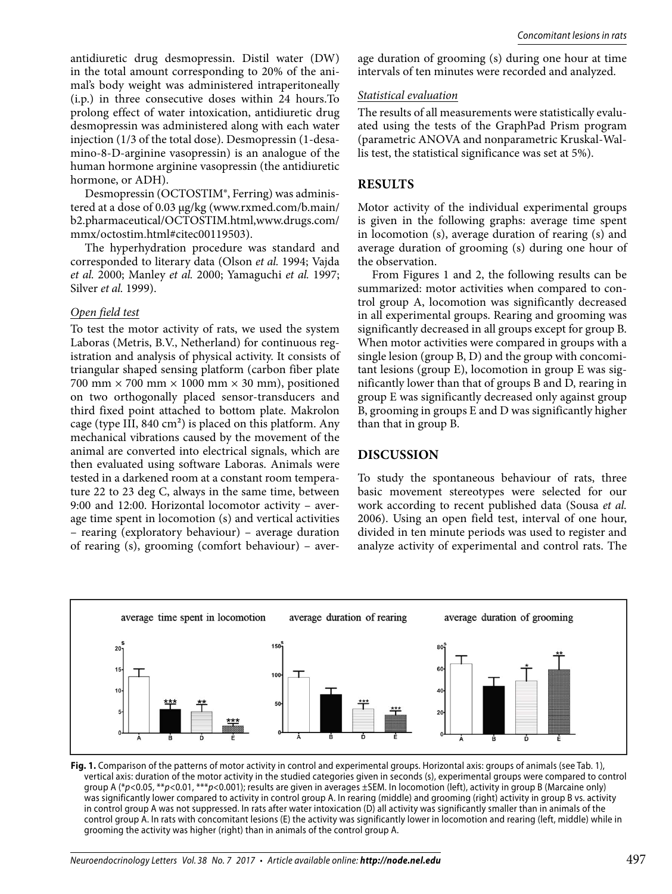antidiuretic drug desmopressin. Distil water (DW) in the total amount corresponding to 20% of the animal's body weight was administered intraperitoneally (i.p.) in three consecutive doses within 24 hours.To prolong effect of water intoxication, antidiuretic drug desmopressin was administered along with each water injection (1/3 of the total dose). Desmopressin (1-desamino-8-D-arginine vasopressin) is an analogue of the human hormone arginine vasopressin (the antidiuretic hormone, or ADH).

Desmopressin (OCTOSTIM®, Ferring) was administered at a dose of 0.03 μg/kg (www.rxmed.com/b.main/ b2.pharmaceutical/OCTOSTIM.html,www.drugs.com/ mmx/octostim.html#citec00119503).

The hyperhydration procedure was standard and corresponded to literary data (Olson *et al.* 1994; Vajda *et al.* 2000; Manley *et al.* 2000; Yamaguchi *et al.* 1997; Silver *et al.* 1999).

#### *Open field test*

To test the motor activity of rats, we used the system Laboras (Metris, B.V., Netherland) for continuous registration and analysis of physical activity. It consists of triangular shaped sensing platform (carbon fiber plate 700 mm  $\times$  700 mm  $\times$  1000 mm  $\times$  30 mm), positioned on two orthogonally placed sensor-transducers and third fixed point attached to bottom plate. Makrolon cage (type III, 840 cm²) is placed on this platform. Any mechanical vibrations caused by the movement of the animal are converted into electrical signals, which are then evaluated using software Laboras. Animals were tested in a darkened room at a constant room temperature 22 to 23 deg C, always in the same time, between 9:00 and 12:00. Horizontal locomotor activity – average time spent in locomotion (s) and vertical activities – rearing (exploratory behaviour) – average duration of rearing (s), grooming (comfort behaviour) – average duration of grooming (s) during one hour at time intervals of ten minutes were recorded and analyzed.

#### *Statistical evaluation*

The results of all measurements were statistically evaluated using the tests of the GraphPad Prism program (parametric ANOVA and nonparametric Kruskal-Wallis test, the statistical significance was set at 5%).

## **RESULTS**

Motor activity of the individual experimental groups is given in the following graphs: average time spent in locomotion (s), average duration of rearing (s) and average duration of grooming (s) during one hour of the observation.

From Figures 1 and 2, the following results can be summarized: motor activities when compared to control group A, locomotion was significantly decreased in all experimental groups. Rearing and grooming was significantly decreased in all groups except for group B. When motor activities were compared in groups with a single lesion (group B, D) and the group with concomitant lesions (group E), locomotion in group E was significantly lower than that of groups B and D, rearing in group E was significantly decreased only against group B, grooming in groups E and D was significantly higher than that in group B.

## **DISCUSSION**

To study the spontaneous behaviour of rats, three basic movement stereotypes were selected for our work according to recent published data (Sousa *et al.*  2006). Using an open field test, interval of one hour, divided in ten minute periods was used to register and analyze activity of experimental and control rats. The



**Fig. 1.** Comparison of the patterns of motor activity in control and experimental groups. Horizontal axis: groups of animals (see Tab. 1), vertical axis: duration of the motor activity in the studied categories given in seconds (s), experimental groups were compared to control group A (\*p<0.05, \*\*p<0.01, \*\*\*p<0.001); results are given in averages ±SEM. In locomotion (left), activity in group B (Marcaine only) was significantly lower compared to activity in control group A. In rearing (middle) and grooming (right) activity in group B vs. activity in control group A was not suppressed. In rats after water intoxication (D) all activity was significantly smaller than in animals of the control group A. In rats with concomitant lesions (E) the activity was significantly lower in locomotion and rearing (left, middle) while in grooming the activity was higher (right) than in animals of the control group A.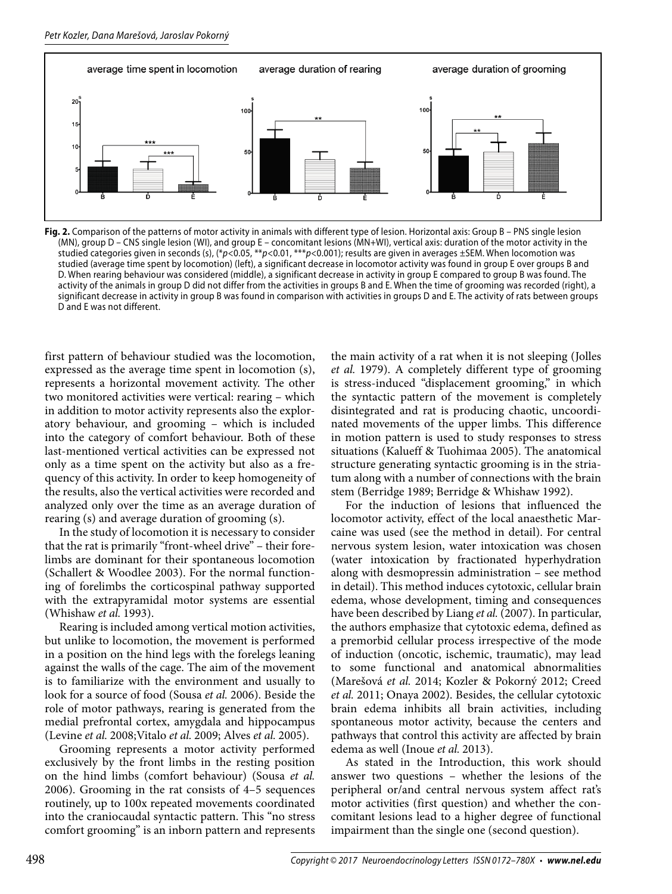

**Fig. 2.** Comparison of the patterns of motor activity in animals with different type of lesion. Horizontal axis: Group B – PNS single lesion (MN), group D – CNS single lesion (WI), and group E – concomitant lesions (MN+WI), vertical axis: duration of the motor activity in the studied categories given in seconds (s),  $(*p<0.05, **p<0.01, ***p<0.001)$ ; results are given in averages ±SEM. When locomotion was studied (average time spent by locomotion) (left), a significant decrease in locomotor activity was found in group E over groups B and D. When rearing behaviour was considered (middle), a significant decrease in activity in group E compared to group B was found. The activity of the animals in group D did not differ from the activities in groups B and E. When the time of grooming was recorded (right), a significant decrease in activity in group B was found in comparison with activities in groups D and E. The activity of rats between groups D and E was not different.

first pattern of behaviour studied was the locomotion, expressed as the average time spent in locomotion (s), represents a horizontal movement activity. The other two monitored activities were vertical: rearing – which in addition to motor activity represents also the exploratory behaviour, and grooming – which is included into the category of comfort behaviour. Both of these last-mentioned vertical activities can be expressed not only as a time spent on the activity but also as a frequency of this activity. In order to keep homogeneity of the results, also the vertical activities were recorded and analyzed only over the time as an average duration of rearing (s) and average duration of grooming (s).

In the study of locomotion it is necessary to consider that the rat is primarily "front-wheel drive" – their forelimbs are dominant for their spontaneous locomotion (Schallert & Woodlee 2003). For the normal functioning of forelimbs the corticospinal pathway supported with the extrapyramidal motor systems are essential (Whishaw *et al.* 1993).

Rearing is included among vertical motion activities, but unlike to locomotion, the movement is performed in a position on the hind legs with the forelegs leaning against the walls of the cage. The aim of the movement is to familiarize with the environment and usually to look for a source of food (Sousa *et al.* 2006). Beside the role of motor pathways, rearing is generated from the medial prefrontal cortex, amygdala and hippocampus (Levine *et al.* 2008;Vitalo *et al.* 2009; Alves *et al.* 2005).

Grooming represents a motor activity performed exclusively by the front limbs in the resting position on the hind limbs (comfort behaviour) (Sousa *et al.*  2006). Grooming in the rat consists of 4–5 sequences routinely, up to 100x repeated movements coordinated into the craniocaudal syntactic pattern. This "no stress comfort grooming" is an inborn pattern and represents

the main activity of a rat when it is not sleeping (Jolles *et al.* 1979). A completely different type of grooming is stress-induced "displacement grooming," in which the syntactic pattern of the movement is completely disintegrated and rat is producing chaotic, uncoordinated movements of the upper limbs. This difference in motion pattern is used to study responses to stress situations (Kalueff & Tuohimaa 2005). The anatomical structure generating syntactic grooming is in the striatum along with a number of connections with the brain stem (Berridge 1989; Berridge & Whishaw 1992).

For the induction of lesions that influenced the locomotor activity, effect of the local anaesthetic Marcaine was used (see the method in detail). For central nervous system lesion, water intoxication was chosen (water intoxication by fractionated hyperhydration along with desmopressin administration – see method in detail). This method induces cytotoxic, cellular brain edema, whose development, timing and consequences have been described by Liang *et al.* (2007). In particular, the authors emphasize that cytotoxic edema, defined as a premorbid cellular process irrespective of the mode of induction (oncotic, ischemic, traumatic), may lead to some functional and anatomical abnormalities (Marešová *et al.* 2014; Kozler & Pokorný 2012; Creed *et al.* 2011; Onaya 2002). Besides, the cellular cytotoxic brain edema inhibits all brain activities, including spontaneous motor activity, because the centers and pathways that control this activity are affected by brain edema as well (Inoue *et al.* 2013).

As stated in the Introduction, this work should answer two questions – whether the lesions of the peripheral or/and central nervous system affect rat's motor activities (first question) and whether the concomitant lesions lead to a higher degree of functional impairment than the single one (second question).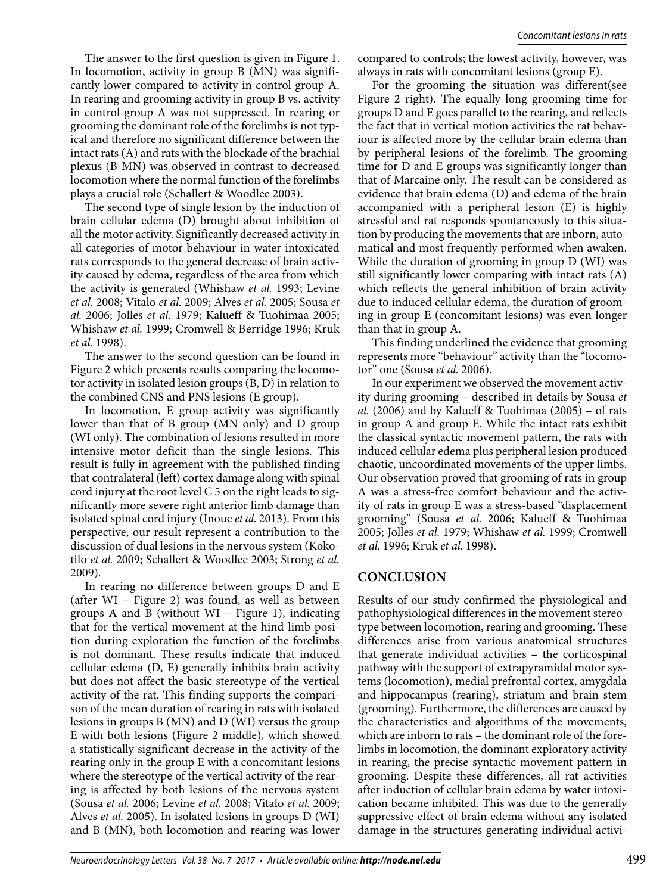The answer to the first question is given in Figure 1. In locomotion, activity in group B (MN) was significantly lower compared to activity in control group A. In rearing and grooming activity in group B vs. activity in control group A was not suppressed. In rearing or grooming the dominant role of the forelimbs is not typical and therefore no significant difference between the intact rats (A) and rats with the blockade of the brachial plexus (B-MN) was observed in contrast to decreased locomotion where the normal function of the forelimbs plays a crucial role (Schallert & Woodlee 2003).

The second type of single lesion by the induction of brain cellular edema (D) brought about inhibition of all the motor activity. Significantly decreased activity in all categories of motor behaviour in water intoxicated rats corresponds to the general decrease of brain activity caused by edema, regardless of the area from which the activity is generated (Whishaw *et al.* 1993; Levine *et al.* 2008; Vitalo *et al.* 2009; Alves *et al.* 2005; Sousa *et al.* 2006; Jolles *et al.* 1979; Kalueff & Tuohimaa 2005; Whishaw *et al.* 1999; Cromwell & Berridge 1996; Kruk *et al.* 1998).

The answer to the second question can be found in Figure 2 which presents results comparing the locomotor activity in isolated lesion groups (B, D) in relation to the combined CNS and PNS lesions (E group).

In locomotion, E group activity was significantly lower than that of B group (MN only) and D group (WI only). The combination of lesions resulted in more intensive motor deficit than the single lesions. This result is fully in agreement with the published finding that contralateral (left) cortex damage along with spinal cord injury at the root level C 5 on the right leads to significantly more severe right anterior limb damage than isolated spinal cord injury (Inoue *et al.* 2013). From this perspective, our result represent a contribution to the discussion of dual lesions in the nervous system (Kokotilo *et al.* 2009; Schallert & Woodlee 2003; Strong *et al.*  2009).

In rearing no difference between groups D and E (after WI – Figure 2) was found, as well as between groups A and B (without WI – Figure 1), indicating that for the vertical movement at the hind limb position during exploration the function of the forelimbs is not dominant. These results indicate that induced cellular edema (D, E) generally inhibits brain activity but does not affect the basic stereotype of the vertical activity of the rat. This finding supports the comparison of the mean duration of rearing in rats with isolated lesions in groups B (MN) and D (WI) versus the group E with both lesions (Figure 2 middle), which showed a statistically significant decrease in the activity of the rearing only in the group E with a concomitant lesions where the stereotype of the vertical activity of the rearing is affected by both lesions of the nervous system (Sousa *et al.* 2006; Levine *et al.* 2008; Vitalo *et al.* 2009; Alves *et al.* 2005). In isolated lesions in groups D (WI) and B (MN), both locomotion and rearing was lower compared to controls; the lowest activity, however, was always in rats with concomitant lesions (group E).

For the grooming the situation was different(see Figure 2 right). The equally long grooming time for groups D and E goes parallel to the rearing, and reflects the fact that in vertical motion activities the rat behaviour is affected more by the cellular brain edema than by peripheral lesions of the forelimb. The grooming time for D and E groups was significantly longer than that of Marcaine only. The result can be considered as evidence that brain edema (D) and edema of the brain accompanied with a peripheral lesion (E) is highly stressful and rat responds spontaneously to this situation by producing the movements that are inborn, automatical and most frequently performed when awaken. While the duration of grooming in group D (WI) was still significantly lower comparing with intact rats (A) which reflects the general inhibition of brain activity due to induced cellular edema, the duration of grooming in group E (concomitant lesions) was even longer than that in group A.

This finding underlined the evidence that grooming represents more "behaviour" activity than the "locomotor" one (Sousa *et al.* 2006).

In our experiment we observed the movement activity during grooming – described in details by Sousa *et al.* (2006) and by Kalueff & Tuohimaa (2005) – of rats in group A and group E. While the intact rats exhibit the classical syntactic movement pattern, the rats with induced cellular edema plus peripheral lesion produced chaotic, uncoordinated movements of the upper limbs. Our observation proved that grooming of rats in group A was a stress-free comfort behaviour and the activity of rats in group E was a stress-based "displacement grooming" (Sousa *et al.* 2006; Kalueff & Tuohimaa 2005; Jolles *et al.* 1979; Whishaw *et al.* 1999; Cromwell *et al.* 1996; Kruk *et al.* 1998).

# **CONCLUSION**

Results of our study confirmed the physiological and pathophysiological differences in the movement stereotype between locomotion, rearing and grooming. These differences arise from various anatomical structures that generate individual activities – the corticospinal pathway with the support of extrapyramidal motor systems (locomotion), medial prefrontal cortex, amygdala and hippocampus (rearing), striatum and brain stem (grooming). Furthermore, the differences are caused by the characteristics and algorithms of the movements, which are inborn to rats – the dominant role of the forelimbs in locomotion, the dominant exploratory activity in rearing, the precise syntactic movement pattern in grooming. Despite these differences, all rat activities after induction of cellular brain edema by water intoxication became inhibited. This was due to the generally suppressive effect of brain edema without any isolated damage in the structures generating individual activi-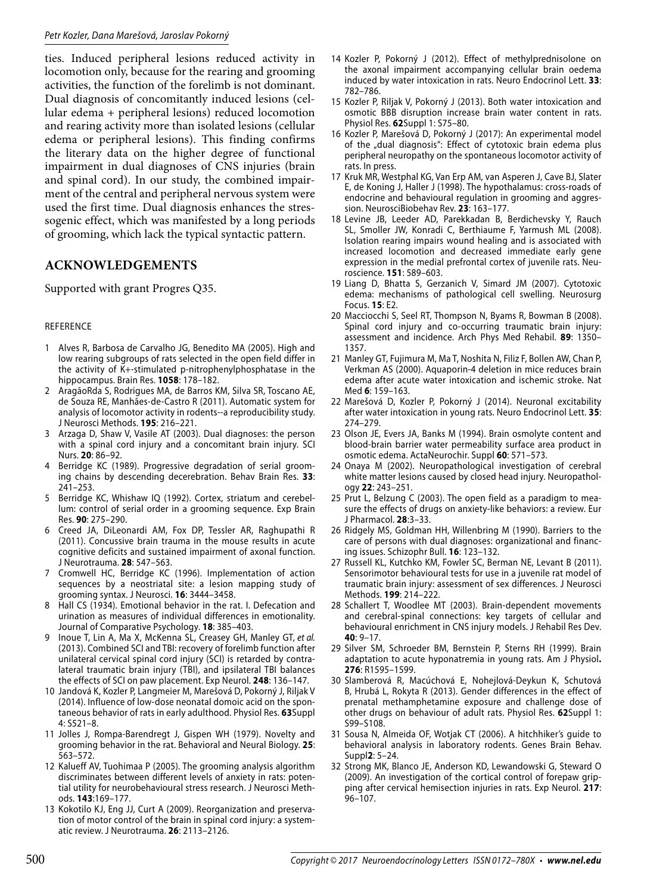ties. Induced peripheral lesions reduced activity in locomotion only, because for the rearing and grooming activities, the function of the forelimb is not dominant. Dual diagnosis of concomitantly induced lesions (cellular edema + peripheral lesions) reduced locomotion and rearing activity more than isolated lesions (cellular edema or peripheral lesions). This finding confirms the literary data on the higher degree of functional impairment in dual diagnoses of CNS injuries (brain and spinal cord). In our study, the combined impairment of the central and peripheral nervous system were used the first time. Dual diagnosis enhances the stressogenic effect, which was manifested by a long periods of grooming, which lack the typical syntactic pattern.

# **ACKNOWLEDGEMENTS**

Supported with grant Progres Q35.

### REFERENCE

- 1 Alves R, Barbosa de Carvalho JG, Benedito MA (2005). High and low rearing subgroups of rats selected in the open field differ in the activity of K+-stimulated p-nitrophenylphosphatase in the hippocampus. Brain Res. **1058**: 178–182.
- 2 AragãoRda S, Rodrigues MA, de Barros KM, Silva SR, Toscano AE, de Souza RE, Manhães-de-Castro R (2011). Automatic system for analysis of locomotor activity in rodents--a reproducibility study. J Neurosci Methods. **195**: 216–221.
- Arzaga D, Shaw V, Vasile AT (2003). Dual diagnoses: the person with a spinal cord injury and a concomitant brain injury. SCI Nurs. **20**: 86–92.
- 4 Berridge KC (1989). Progressive degradation of serial grooming chains by descending decerebration. Behav Brain Res. **33**: 241–253.
- 5 Berridge KC, Whishaw IQ (1992). Cortex, striatum and cerebellum: control of serial order in a grooming sequence. Exp Brain Res. **90**: 275–290.
- 6 Creed JA, DiLeonardi AM, Fox DP, Tessler AR, Raghupathi R (2011). Concussive brain trauma in the mouse results in acute cognitive deficits and sustained impairment of axonal function. J Neurotrauma. **28**: 547–563.
- 7 Cromwell HC, Berridge KC (1996). Implementation of action sequences by a neostriatal site: a lesion mapping study of grooming syntax. J Neurosci. **16**: 3444–3458.
- 8 Hall CS (1934). Emotional behavior in the rat. I. Defecation and urination as measures of individual differences in emotionality. Journal of Comparative Psychology. **18**: 385–403.
- Inoue T, Lin A, Ma X, McKenna SL, Creasey GH, Manley GT, et al. (2013). Combined SCI and TBI: recovery of forelimb function after unilateral cervical spinal cord injury (SCI) is retarded by contralateral traumatic brain injury (TBI), and ipsilateral TBI balances the effects of SCI on paw placement. Exp Neurol. **248**: 136–147.
- 10 Jandová K, Kozler P, Langmeier M, Marešová D, Pokorný J, Riljak V (2014). Influence of low-dose neonatal domoic acid on the spontaneous behavior of rats in early adulthood. Physiol Res. **63**Suppl 4: S521–8.
- 11 Jolles J, Rompa-Barendregt J, Gispen WH (1979). Novelty and grooming behavior in the rat. Behavioral and Neural Biology. **25**: 563–572.
- 12 Kalueff AV, Tuohimaa P (2005). The grooming analysis algorithm discriminates between different levels of anxiety in rats: potential utility for neurobehavioural stress research. J Neurosci Methods. **143**:169–177.
- 13 Kokotilo KJ, Eng JJ, Curt A (2009). Reorganization and preservation of motor control of the brain in spinal cord injury: a systematic review. J Neurotrauma. **26**: 2113–2126.
- 14 Kozler P, Pokorný J (2012). Effect of methylprednisolone on the axonal impairment accompanying cellular brain oedema induced by water intoxication in rats. Neuro Endocrinol Lett. **33**: 782–786.
- 15 Kozler P, Riljak V, Pokorný J (2013). Both water intoxication and osmotic BBB disruption increase brain water content in rats. Physiol Res. **62**Suppl 1: S75–80.
- 16 Kozler P, Marešová D, Pokorný J (2017): An experimental model of the "dual diagnosis": Effect of cytotoxic brain edema plus peripheral neuropathy on the spontaneous locomotor activity of rats. In press.
- 17 Kruk MR, Westphal KG, Van Erp AM, van Asperen J, Cave BJ, Slater E, de Koning J, Haller J (1998). The hypothalamus: cross-roads of endocrine and behavioural regulation in grooming and aggression. NeurosciBiobehav Rev. **23**: 163–177.
- 18 Levine JB, Leeder AD, Parekkadan B, Berdichevsky Y, Rauch SL, Smoller JW, Konradi C, Berthiaume F, Yarmush ML (2008). Isolation rearing impairs wound healing and is associated with increased locomotion and decreased immediate early gene expression in the medial prefrontal cortex of juvenile rats. Neuroscience. **151**: 589–603.
- 19 Liang D, Bhatta S, Gerzanich V, Simard JM (2007). Cytotoxic edema: mechanisms of pathological cell swelling. Neurosurg Focus. **15**: E2.
- 20 Macciocchi S, Seel RT, Thompson N, Byams R, Bowman B (2008). Spinal cord injury and co-occurring traumatic brain injury: assessment and incidence. Arch Phys Med Rehabil. **89**: 1350– 1357.
- 21 Manley GT, Fujimura M, Ma T, Noshita N, Filiz F, Bollen AW, Chan P, Verkman AS (2000). Aquaporin-4 deletion in mice reduces brain edema after acute water intoxication and ischemic stroke. Nat Med **6**: 159–163.
- 22 Marešová D, Kozler P, Pokorný J (2014). Neuronal excitability after water intoxication in young rats. Neuro Endocrinol Lett. **35**: 274–279.
- 23 Olson JE, Evers JA, Banks M (1994). Brain osmolyte content and blood-brain barrier water permeability surface area product in osmotic edema. ActaNeurochir. Suppl **60**: 571–573.
- 24 Onaya M (2002). Neuropathological investigation of cerebral white matter lesions caused by closed head injury. Neuropathology **22**: 243–251.
- 25 Prut L, Belzung C (2003). The open field as a paradigm to measure the effects of drugs on anxiety-like behaviors: a review. Eur J Pharmacol. **28**:3–33.
- 26 Ridgely MS, Goldman HH, Willenbring M (1990). Barriers to the care of persons with dual diagnoses: organizational and financing issues. Schizophr Bull. **16**: 123–132.
- 27 Russell KL, Kutchko KM, Fowler SC, Berman NE, Levant B (2011). Sensorimotor behavioural tests for use in a juvenile rat model of traumatic brain injury: assessment of sex differences. J Neurosci Methods. **199**: 214–222.
- 28 Schallert T, Woodlee MT (2003). Brain-dependent movements and cerebral-spinal connections: key targets of cellular and behavioural enrichment in CNS injury models. J Rehabil Res Dev. **40**: 9–17.
- 29 Silver SM, Schroeder BM, Bernstein P, Sterns RH (1999). Brain adaptation to acute hyponatremia in young rats. Am J Physiol**. 276**: R1595–1599.
- 30 Slamberová R, Macúchová E, Nohejlová-Deykun K, Schutová B, Hrubá L, Rokyta R (2013). Gender differences in the effect of prenatal methamphetamine exposure and challenge dose of other drugs on behaviour of adult rats. Physiol Res. **62**Suppl 1: S99–S108.
- 31 Sousa N, Almeida OF, Wotjak CT (2006). A hitchhiker's guide to behavioral analysis in laboratory rodents. Genes Brain Behav. Suppl**2**: 5–24.
- 32 Strong MK, Blanco JE, Anderson KD, Lewandowski G, Steward O (2009). An investigation of the cortical control of forepaw gripping after cervical hemisection injuries in rats. Exp Neurol. **217**: 96–107.